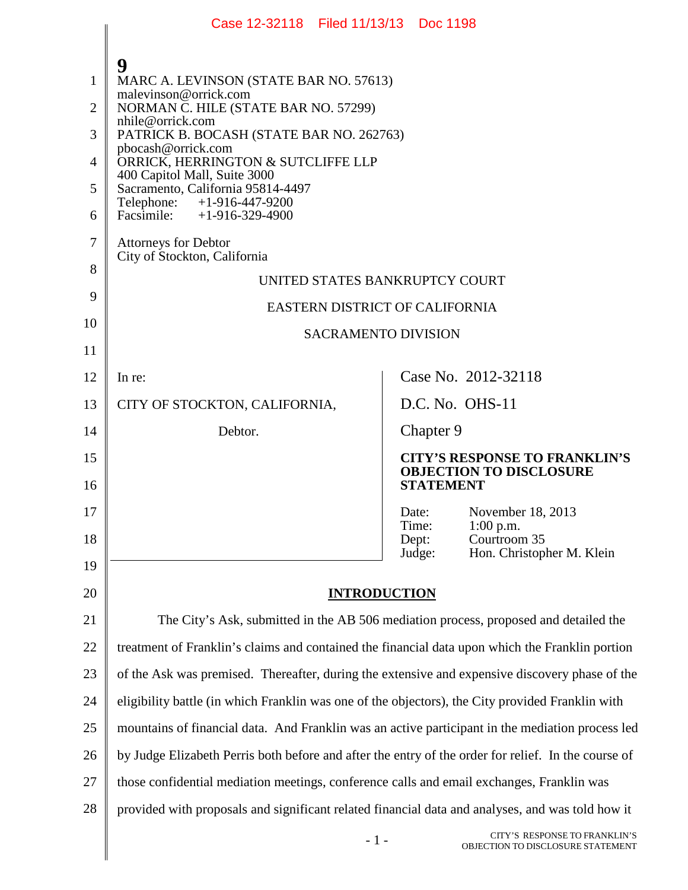|                | Case 12-32118 Filed 11/13/13 Doc 1198                                                               |                |                                                                                            |  |
|----------------|-----------------------------------------------------------------------------------------------------|----------------|--------------------------------------------------------------------------------------------|--|
|                |                                                                                                     |                |                                                                                            |  |
| 1              | 9<br>MARC A. LEVINSON (STATE BAR NO. 57613)                                                         |                |                                                                                            |  |
| $\overline{2}$ | malevinson@orrick.com<br>NORMAN C. HILE (STATE BAR NO. 57299)                                       |                |                                                                                            |  |
| 3              | nhile@orrick.com<br>PATRICK B. BOCASH (STATE BAR NO. 262763)                                        |                |                                                                                            |  |
| 4              | pbocash@orrick.com<br>ORRICK, HERRINGTON & SUTCLIFFE LLP<br>400 Capitol Mall, Suite 3000            |                |                                                                                            |  |
| 5              | Sacramento, California 95814-4497<br>Telephone: +1-916-447-9200                                     |                |                                                                                            |  |
| 6              | Facsimile: +1-916-329-4900                                                                          |                |                                                                                            |  |
| 7              | <b>Attorneys for Debtor</b><br>City of Stockton, California                                         |                |                                                                                            |  |
| 8              | UNITED STATES BANKRUPTCY COURT                                                                      |                |                                                                                            |  |
| 9              | EASTERN DISTRICT OF CALIFORNIA                                                                      |                |                                                                                            |  |
| 10             | <b>SACRAMENTO DIVISION</b>                                                                          |                |                                                                                            |  |
| 11             |                                                                                                     |                |                                                                                            |  |
| 12             | In re:                                                                                              |                | Case No. 2012-32118                                                                        |  |
| 13             | CITY OF STOCKTON, CALIFORNIA,                                                                       |                | D.C. No. OHS-11                                                                            |  |
| 14             | Debtor.                                                                                             | Chapter 9      |                                                                                            |  |
| 15<br>16       |                                                                                                     |                | <b>CITY'S RESPONSE TO FRANKLIN'S</b><br><b>OBJECTION TO DISCLOSURE</b><br><b>STATEMENT</b> |  |
| 17             |                                                                                                     | Date:          | November 18, 2013                                                                          |  |
| 18             |                                                                                                     | Time:<br>Dept: | $1:00$ p.m.<br>Courtroom 35                                                                |  |
| 19             |                                                                                                     | Judge:         | Hon. Christopher M. Klein                                                                  |  |
| 20             | <b>INTRODUCTION</b>                                                                                 |                |                                                                                            |  |
| 21             | The City's Ask, submitted in the AB 506 mediation process, proposed and detailed the                |                |                                                                                            |  |
| 22             | treatment of Franklin's claims and contained the financial data upon which the Franklin portion     |                |                                                                                            |  |
| 23             | of the Ask was premised. Thereafter, during the extensive and expensive discovery phase of the      |                |                                                                                            |  |
| 24             | eligibility battle (in which Franklin was one of the objectors), the City provided Franklin with    |                |                                                                                            |  |
| 25             | mountains of financial data. And Franklin was an active participant in the mediation process led    |                |                                                                                            |  |
| 26             | by Judge Elizabeth Perris both before and after the entry of the order for relief. In the course of |                |                                                                                            |  |
| 27             | those confidential mediation meetings, conference calls and email exchanges, Franklin was           |                |                                                                                            |  |
| 28             | provided with proposals and significant related financial data and analyses, and was told how it    |                |                                                                                            |  |
|                | $-1-$                                                                                               |                | CITY'S RESPONSE TO FRANKLIN'S<br>OBJECTION TO DISCLOSURE STATEMENT                         |  |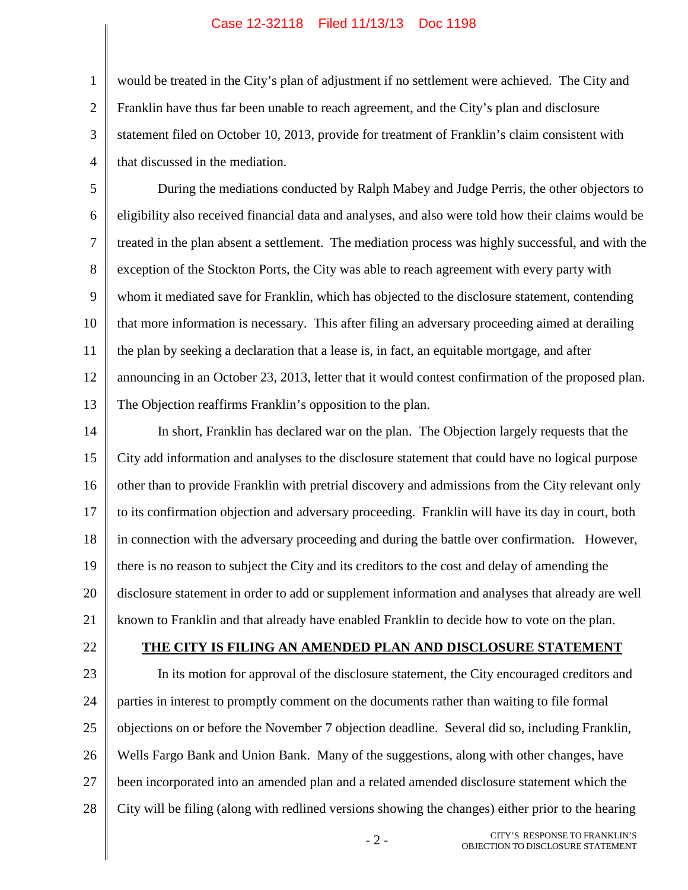1 2 3 4 would be treated in the City's plan of adjustment if no settlement were achieved. The City and Franklin have thus far been unable to reach agreement, and the City's plan and disclosure statement filed on October 10, 2013, provide for treatment of Franklin's claim consistent with that discussed in the mediation.

5 6 7 8 9 10 11 12 13 During the mediations conducted by Ralph Mabey and Judge Perris, the other objectors to eligibility also received financial data and analyses, and also were told how their claims would be treated in the plan absent a settlement. The mediation process was highly successful, and with the exception of the Stockton Ports, the City was able to reach agreement with every party with whom it mediated save for Franklin, which has objected to the disclosure statement, contending that more information is necessary. This after filing an adversary proceeding aimed at derailing the plan by seeking a declaration that a lease is, in fact, an equitable mortgage, and after announcing in an October 23, 2013, letter that it would contest confirmation of the proposed plan. The Objection reaffirms Franklin's opposition to the plan.

14 15 16 17 18 19 20 21 In short, Franklin has declared war on the plan. The Objection largely requests that the City add information and analyses to the disclosure statement that could have no logical purpose other than to provide Franklin with pretrial discovery and admissions from the City relevant only to its confirmation objection and adversary proceeding. Franklin will have its day in court, both in connection with the adversary proceeding and during the battle over confirmation. However, there is no reason to subject the City and its creditors to the cost and delay of amending the disclosure statement in order to add or supplement information and analyses that already are well known to Franklin and that already have enabled Franklin to decide how to vote on the plan.

22

### **THE CITY IS FILING AN AMENDED PLAN AND DISCLOSURE STATEMENT**

23 24 25 26 27 28 In its motion for approval of the disclosure statement, the City encouraged creditors and parties in interest to promptly comment on the documents rather than waiting to file formal objections on or before the November 7 objection deadline. Several did so, including Franklin, Wells Fargo Bank and Union Bank. Many of the suggestions, along with other changes, have been incorporated into an amended plan and a related amended disclosure statement which the City will be filing (along with redlined versions showing the changes) either prior to the hearing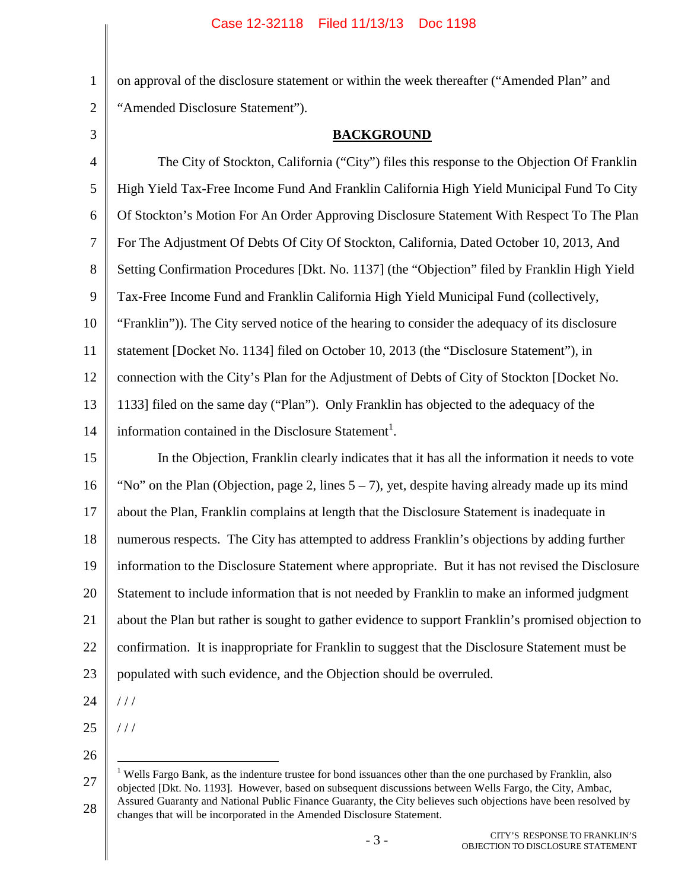on approval of the disclosure statement or within the week thereafter ("Amended Plan" and "Amended Disclosure Statement").

3

1

2

# **BACKGROUND**

4 5 6 7 8 9 10 11 12 13 14 The City of Stockton, California ("City") files this response to the Objection Of Franklin High Yield Tax-Free Income Fund And Franklin California High Yield Municipal Fund To City Of Stockton's Motion For An Order Approving Disclosure Statement With Respect To The Plan For The Adjustment Of Debts Of City Of Stockton, California, Dated October 10, 2013, And Setting Confirmation Procedures [Dkt. No. 1137] (the "Objection" filed by Franklin High Yield Tax-Free Income Fund and Franklin California High Yield Municipal Fund (collectively, "Franklin")). The City served notice of the hearing to consider the adequacy of its disclosure statement [Docket No. 1134] filed on October 10, 2013 (the "Disclosure Statement"), in connection with the City's Plan for the Adjustment of Debts of City of Stockton [Docket No. 1133] filed on the same day ("Plan"). Only Franklin has objected to the adequacy of the information contained in the Disclosure Statement<sup>1</sup>.

15 16 17 18 19 20 21 22 23 In the Objection, Franklin clearly indicates that it has all the information it needs to vote "No" on the Plan (Objection, page 2, lines  $5 - 7$ ), yet, despite having already made up its mind about the Plan, Franklin complains at length that the Disclosure Statement is inadequate in numerous respects. The City has attempted to address Franklin's objections by adding further information to the Disclosure Statement where appropriate. But it has not revised the Disclosure Statement to include information that is not needed by Franklin to make an informed judgment about the Plan but rather is sought to gather evidence to support Franklin's promised objection to confirmation. It is inappropriate for Franklin to suggest that the Disclosure Statement must be populated with such evidence, and the Objection should be overruled.

24

/ / /

/ / /

- 25
- 26

27 28 <sup>1</sup> Wells Fargo Bank, as the indenture trustee for bond issuances other than the one purchased by Franklin, also objected [Dkt. No. 1193]. However, based on subsequent discussions between Wells Fargo, the City, Ambac, Assured Guaranty and National Public Finance Guaranty, the City believes such objections have been resolved by changes that will be incorporated in the Amended Disclosure Statement.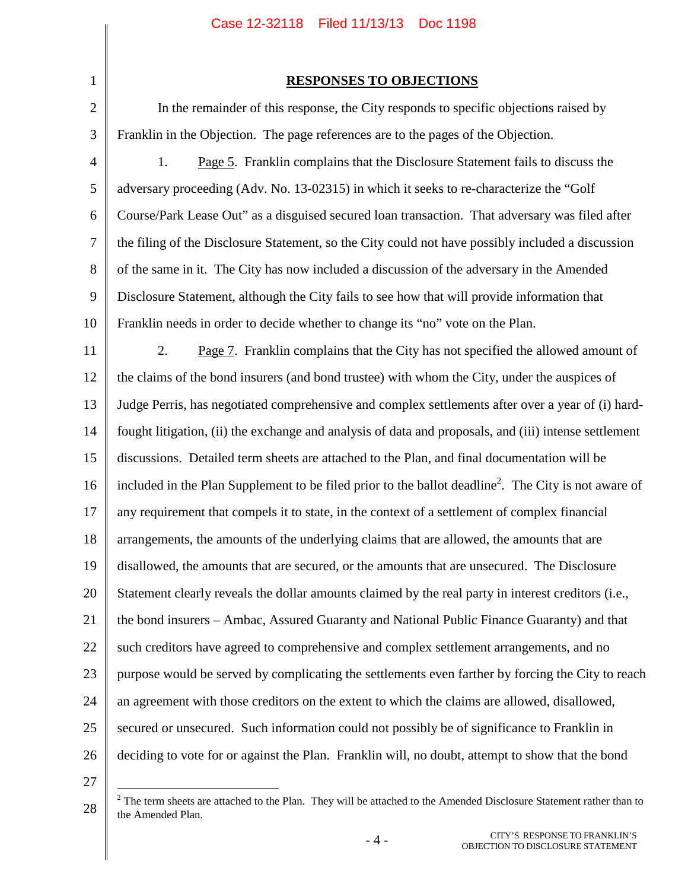| $\mathbf 1$    |                           |
|----------------|---------------------------|
| $\overline{c}$ | In the remai              |
| 3              | Franklin in the Obj       |
| $\overline{4}$ | 1.<br>Page                |
| 5              | adversary proceedii       |
| 6              | Course/Park Lease         |
| $\overline{7}$ | the filing of the Dis     |
| 8              | of the same in it. T      |
| $\overline{9}$ | <b>Disclosure Stateme</b> |
| 10             | Franklin needs in o       |
| 11             | 2.<br>Page                |
| 12             | the claims of the bo      |
| 13             | Judge Perris, has ne      |
| 14             | fought litigation, (ii    |
| 15             | discussions. Detail       |
| 16             | included in the Plar      |
| 17             | any requirement that      |
| 18             | arrangements, the a       |
| 19             | disallowed, the ame       |
| 20             | Statement clearly re      |
| 21             | the bond insurers –       |
|                | such creditors have       |
|                | purpose would be s        |
| 24             | an agreement with         |
|                | secured or unsecure       |
| 26             | deciding to vote for      |
|                |                           |

### **RESPONSES TO OBJECTIONS**

Inder of this response, the City responds to specific objections raised by ection. The page references are to the pages of the Objection.

1. Page 5. Franklin complains that the Disclosure Statement fails to discuss the ng (Adv. No. 13-02315) in which it seeks to re-characterize the "Golf" Out" as a disguised secured loan transaction. That adversary was filed after sclosure Statement, so the City could not have possibly included a discussion The City has now included a discussion of the adversary in the Amended nt, although the City fails to see how that will provide information that rder to decide whether to change its "no" vote on the Plan.

11 12 13 14 15 16 17 18 19 20 21 22 23 24 25 26  $2.7$ . Franklin complains that the City has not specified the allowed amount of ond insurers (and bond trustee) with whom the City, under the auspices of egotiated comprehensive and complex settlements after over a year of (i) hardi) the exchange and analysis of data and proposals, and (iii) intense settlement led term sheets are attached to the Plan, and final documentation will be included in the Plan Supplement to be filed prior to the ballot deadline<sup>2</sup>. The City is not aware of at compels it to state, in the context of a settlement of complex financial arrangements of the underlying claims that are allowed, the amounts that are an ounts that are secured, or the amounts that are unsecured. The Disclosure eveals the dollar amounts claimed by the real party in interest creditors (i.e., Ambac, Assured Guaranty and National Public Finance Guaranty) and that agreed to comprehensive and complex settlement arrangements, and no purpose by complicating the settlements even farther by forcing the City to reach those creditors on the extent to which the claims are allowed, disallowed, ed. Such information could not possibly be of significance to Franklin in r or against the Plan. Franklin will, no doubt, attempt to show that the bond

27

<sup>28</sup>  $2$  The term sheets are attached to the Plan. They will be attached to the Amended Disclosure Statement rather than to the Amended Plan.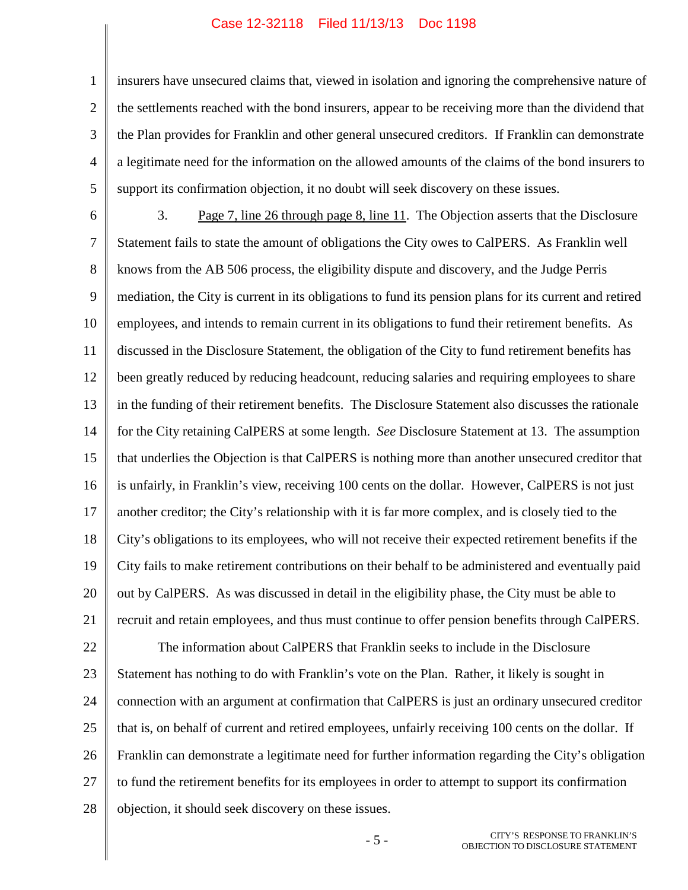1 2 3 4 5 insurers have unsecured claims that, viewed in isolation and ignoring the comprehensive nature of the settlements reached with the bond insurers, appear to be receiving more than the dividend that the Plan provides for Franklin and other general unsecured creditors. If Franklin can demonstrate a legitimate need for the information on the allowed amounts of the claims of the bond insurers to support its confirmation objection, it no doubt will seek discovery on these issues.

6 7 8 9 10 11 12 13 14 15 16 17 18 19 20 21 22 23 24 25 26 27 28 3. Page 7, line 26 through page 8, line 11. The Objection asserts that the Disclosure Statement fails to state the amount of obligations the City owes to CalPERS. As Franklin well knows from the AB 506 process, the eligibility dispute and discovery, and the Judge Perris mediation, the City is current in its obligations to fund its pension plans for its current and retired employees, and intends to remain current in its obligations to fund their retirement benefits. As discussed in the Disclosure Statement, the obligation of the City to fund retirement benefits has been greatly reduced by reducing headcount, reducing salaries and requiring employees to share in the funding of their retirement benefits. The Disclosure Statement also discusses the rationale for the City retaining CalPERS at some length. *See* Disclosure Statement at 13. The assumption that underlies the Objection is that CalPERS is nothing more than another unsecured creditor that is unfairly, in Franklin's view, receiving 100 cents on the dollar. However, CalPERS is not just another creditor; the City's relationship with it is far more complex, and is closely tied to the City's obligations to its employees, who will not receive their expected retirement benefits if the City fails to make retirement contributions on their behalf to be administered and eventually paid out by CalPERS. As was discussed in detail in the eligibility phase, the City must be able to recruit and retain employees, and thus must continue to offer pension benefits through CalPERS. The information about CalPERS that Franklin seeks to include in the Disclosure Statement has nothing to do with Franklin's vote on the Plan. Rather, it likely is sought in connection with an argument at confirmation that CalPERS is just an ordinary unsecured creditor that is, on behalf of current and retired employees, unfairly receiving 100 cents on the dollar. If Franklin can demonstrate a legitimate need for further information regarding the City's obligation to fund the retirement benefits for its employees in order to attempt to support its confirmation objection, it should seek discovery on these issues.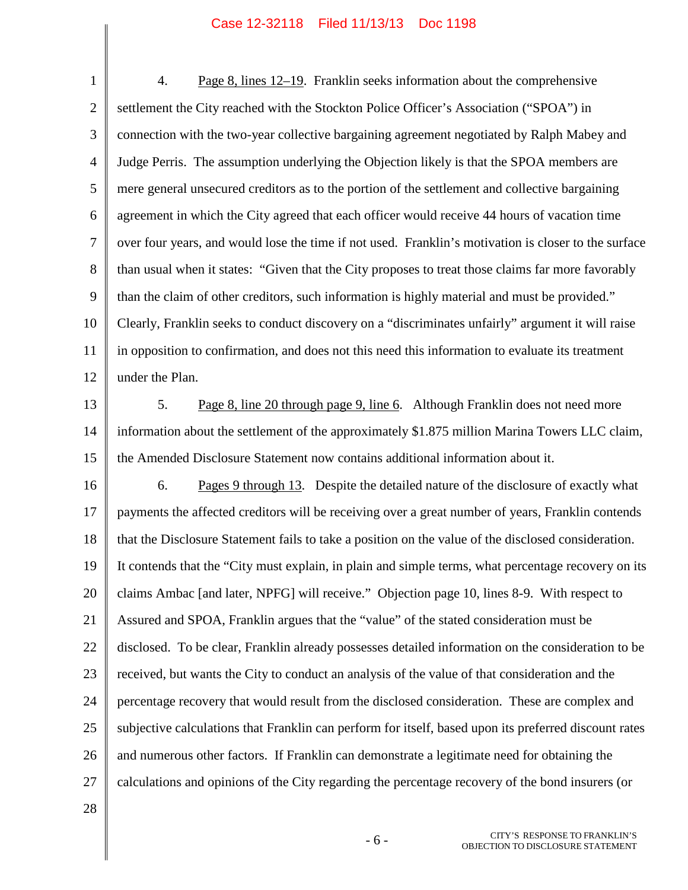1 2 3 4 5 6 7 8 9 10 11 12 4. Page 8, lines 12–19. Franklin seeks information about the comprehensive settlement the City reached with the Stockton Police Officer's Association ("SPOA") in connection with the two-year collective bargaining agreement negotiated by Ralph Mabey and Judge Perris. The assumption underlying the Objection likely is that the SPOA members are mere general unsecured creditors as to the portion of the settlement and collective bargaining agreement in which the City agreed that each officer would receive 44 hours of vacation time over four years, and would lose the time if not used. Franklin's motivation is closer to the surface than usual when it states: "Given that the City proposes to treat those claims far more favorably than the claim of other creditors, such information is highly material and must be provided." Clearly, Franklin seeks to conduct discovery on a "discriminates unfairly" argument it will raise in opposition to confirmation, and does not this need this information to evaluate its treatment under the Plan.

13 14 15 5. Page 8, line 20 through page 9, line 6. Although Franklin does not need more information about the settlement of the approximately \$1.875 million Marina Towers LLC claim, the Amended Disclosure Statement now contains additional information about it.

16 17 18 19 20 21 22 23 24 25 26 27 6. Pages 9 through 13. Despite the detailed nature of the disclosure of exactly what payments the affected creditors will be receiving over a great number of years, Franklin contends that the Disclosure Statement fails to take a position on the value of the disclosed consideration. It contends that the "City must explain, in plain and simple terms, what percentage recovery on its claims Ambac [and later, NPFG] will receive." Objection page 10, lines 8-9. With respect to Assured and SPOA, Franklin argues that the "value" of the stated consideration must be disclosed. To be clear, Franklin already possesses detailed information on the consideration to be received, but wants the City to conduct an analysis of the value of that consideration and the percentage recovery that would result from the disclosed consideration. These are complex and subjective calculations that Franklin can perform for itself, based upon its preferred discount rates and numerous other factors. If Franklin can demonstrate a legitimate need for obtaining the calculations and opinions of the City regarding the percentage recovery of the bond insurers (or

28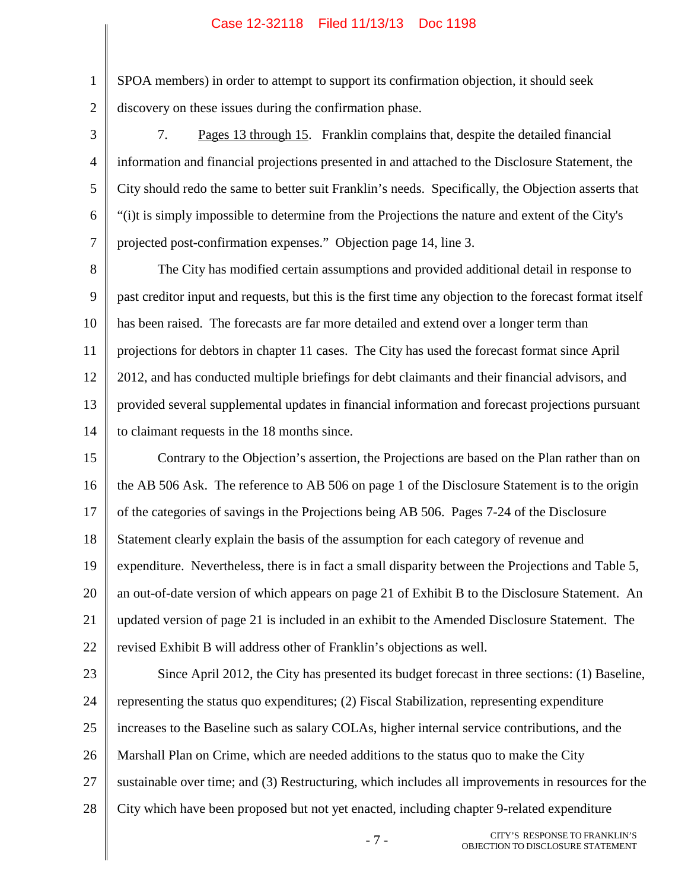1 2 SPOA members) in order to attempt to support its confirmation objection, it should seek discovery on these issues during the confirmation phase.

3 4 5 6 7 7. Pages 13 through 15. Franklin complains that, despite the detailed financial information and financial projections presented in and attached to the Disclosure Statement, the City should redo the same to better suit Franklin's needs. Specifically, the Objection asserts that "(i)t is simply impossible to determine from the Projections the nature and extent of the City's projected post-confirmation expenses." Objection page 14, line 3.

8 9 10 11 12 13 14 The City has modified certain assumptions and provided additional detail in response to past creditor input and requests, but this is the first time any objection to the forecast format itself has been raised. The forecasts are far more detailed and extend over a longer term than projections for debtors in chapter 11 cases. The City has used the forecast format since April 2012, and has conducted multiple briefings for debt claimants and their financial advisors, and provided several supplemental updates in financial information and forecast projections pursuant to claimant requests in the 18 months since.

15 16 17 18 19 20 21 22 Contrary to the Objection's assertion, the Projections are based on the Plan rather than on the AB 506 Ask. The reference to AB 506 on page 1 of the Disclosure Statement is to the origin of the categories of savings in the Projections being AB 506. Pages 7-24 of the Disclosure Statement clearly explain the basis of the assumption for each category of revenue and expenditure. Nevertheless, there is in fact a small disparity between the Projections and Table 5, an out-of-date version of which appears on page 21 of Exhibit B to the Disclosure Statement. An updated version of page 21 is included in an exhibit to the Amended Disclosure Statement. The revised Exhibit B will address other of Franklin's objections as well.

23 24 25 26 27 28 Since April 2012, the City has presented its budget forecast in three sections: (1) Baseline, representing the status quo expenditures; (2) Fiscal Stabilization, representing expenditure increases to the Baseline such as salary COLAs, higher internal service contributions, and the Marshall Plan on Crime, which are needed additions to the status quo to make the City sustainable over time; and (3) Restructuring, which includes all improvements in resources for the City which have been proposed but not yet enacted, including chapter 9-related expenditure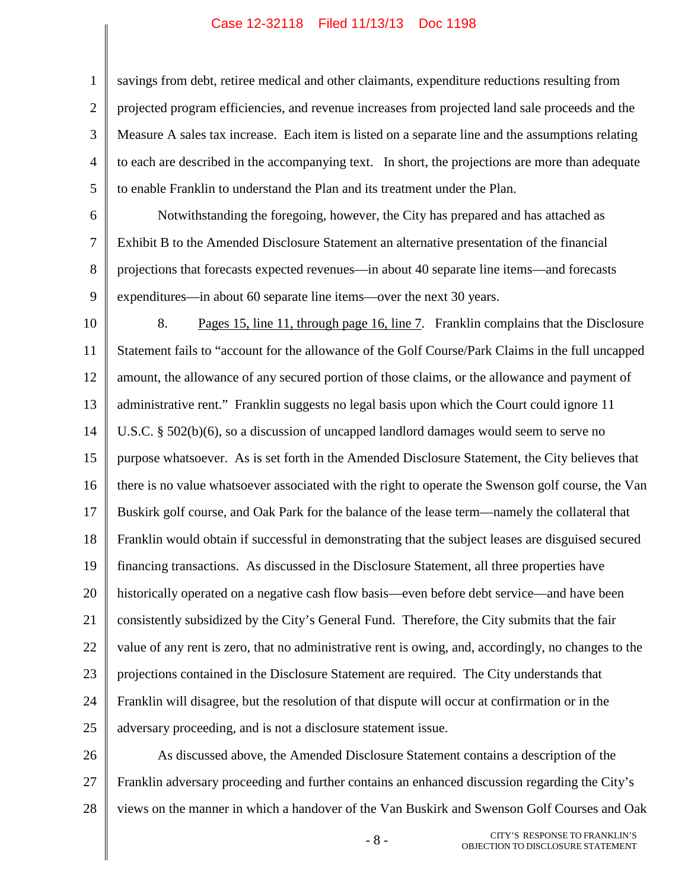1 2 3 4 5 savings from debt, retiree medical and other claimants, expenditure reductions resulting from projected program efficiencies, and revenue increases from projected land sale proceeds and the Measure A sales tax increase. Each item is listed on a separate line and the assumptions relating to each are described in the accompanying text. In short, the projections are more than adequate to enable Franklin to understand the Plan and its treatment under the Plan.

6 7

8

9

Notwithstanding the foregoing, however, the City has prepared and has attached as Exhibit B to the Amended Disclosure Statement an alternative presentation of the financial projections that forecasts expected revenues—in about 40 separate line items—and forecasts expenditures—in about 60 separate line items—over the next 30 years.

10 11 12 13 14 15 16 17 18 19 20 21 22 23 24 25 8. Pages 15, line 11, through page 16, line 7. Franklin complains that the Disclosure Statement fails to "account for the allowance of the Golf Course/Park Claims in the full uncapped amount, the allowance of any secured portion of those claims, or the allowance and payment of administrative rent." Franklin suggests no legal basis upon which the Court could ignore 11 U.S.C. § 502(b)(6), so a discussion of uncapped landlord damages would seem to serve no purpose whatsoever. As is set forth in the Amended Disclosure Statement, the City believes that there is no value whatsoever associated with the right to operate the Swenson golf course, the Van Buskirk golf course, and Oak Park for the balance of the lease term—namely the collateral that Franklin would obtain if successful in demonstrating that the subject leases are disguised secured financing transactions. As discussed in the Disclosure Statement, all three properties have historically operated on a negative cash flow basis—even before debt service—and have been consistently subsidized by the City's General Fund. Therefore, the City submits that the fair value of any rent is zero, that no administrative rent is owing, and, accordingly, no changes to the projections contained in the Disclosure Statement are required. The City understands that Franklin will disagree, but the resolution of that dispute will occur at confirmation or in the adversary proceeding, and is not a disclosure statement issue.

26 27 28 As discussed above, the Amended Disclosure Statement contains a description of the Franklin adversary proceeding and further contains an enhanced discussion regarding the City's views on the manner in which a handover of the Van Buskirk and Swenson Golf Courses and Oak